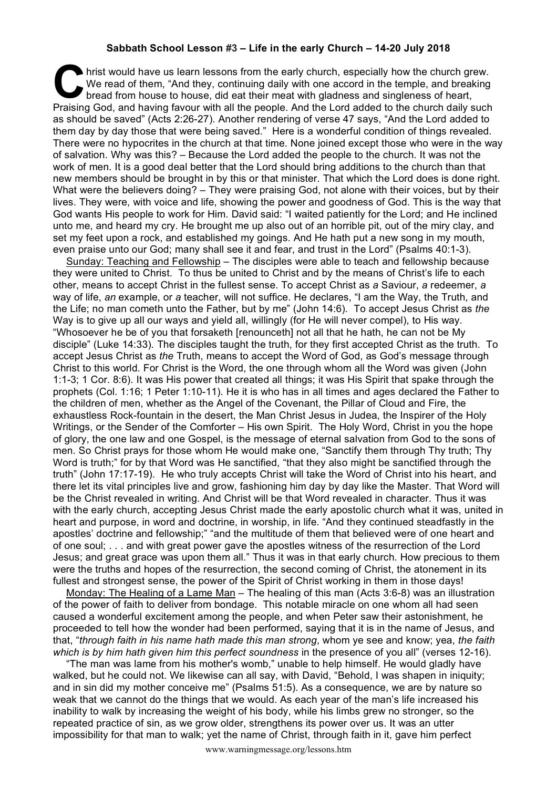## **Sabbath School Lesson #3 – Life in the early Church – 14-20 July 2018**

hrist would have us learn lessons from the early church, especially how the church grew. We read of them, "And they, continuing daily with one accord in the temple, and breaking bread from house to house, did eat their meat with gladness and singleness of heart, Praising God, and having favour with all the people. And the Lord added to the church daily such **C** as should be saved" (Acts 2:26-27). Another rendering of verse 47 says, "And the Lord added to them day by day those that were being saved." Here is a wonderful condition of things revealed. There were no hypocrites in the church at that time. None joined except those who were in the way of salvation. Why was this? – Because the Lord added the people to the church. It was not the work of men. It is a good deal better that the Lord should bring additions to the church than that new members should be brought in by this or that minister. That which the Lord does is done right. What were the believers doing? – They were praising God, not alone with their voices, but by their lives. They were, with voice and life, showing the power and goodness of God. This is the way that God wants His people to work for Him. David said: "I waited patiently for the Lord; and He inclined unto me, and heard my cry. He brought me up also out of an horrible pit, out of the miry clay, and set my feet upon a rock, and established my goings. And He hath put a new song in my mouth, even praise unto our God; many shall see it and fear, and trust in the Lord" (Psalms 40:1-3).

Sunday: Teaching and Fellowship – The disciples were able to teach and fellowship because they were united to Christ. To thus be united to Christ and by the means of Christ's life to each other, means to accept Christ in the fullest sense. To accept Christ as *a* Saviour, *a* redeemer, *a*  way of life, *an* example, or *a* teacher, will not suffice. He declares, "I am the Way, the Truth, and the Life; no man cometh unto the Father, but by me" (John 14:6). To accept Jesus Christ as *the*  Way is to give up all our ways and yield all, willingly (for He will never compel), to His way. "Whosoever he be of you that forsaketh [renounceth] not all that he hath, he can not be My disciple" (Luke 14:33). The disciples taught the truth, for they first accepted Christ as the truth. To accept Jesus Christ as *the* Truth, means to accept the Word of God, as God's message through Christ to this world. For Christ is the Word, the one through whom all the Word was given (John 1:1-3; 1 Cor. 8:6). It was His power that created all things; it was His Spirit that spake through the prophets (Col. 1:16; 1 Peter 1:10-11). He it is who has in all times and ages declared the Father to the children of men, whether as the Angel of the Covenant, the Pillar of Cloud and Fire, the exhaustless Rock-fountain in the desert, the Man Christ Jesus in Judea, the Inspirer of the Holy Writings, or the Sender of the Comforter – His own Spirit. The Holy Word, Christ in you the hope of glory, the one law and one Gospel, is the message of eternal salvation from God to the sons of men. So Christ prays for those whom He would make one, "Sanctify them through Thy truth; Thy Word is truth;" for by that Word was He sanctified, "that they also might be sanctified through the truth" (John 17:17-19). He who truly accepts Christ will take the Word of Christ into his heart, and there let its vital principles live and grow, fashioning him day by day like the Master. That Word will be the Christ revealed in writing. And Christ will be that Word revealed in character. Thus it was with the early church, accepting Jesus Christ made the early apostolic church what it was, united in heart and purpose, in word and doctrine, in worship, in life. "And they continued steadfastly in the apostles' doctrine and fellowship;" "and the multitude of them that believed were of one heart and of one soul; . . . and with great power gave the apostles witness of the resurrection of the Lord Jesus; and great grace was upon them all." Thus it was in that early church. How precious to them were the truths and hopes of the resurrection, the second coming of Christ, the atonement in its fullest and strongest sense, the power of the Spirit of Christ working in them in those days!

Monday: The Healing of a Lame Man – The healing of this man (Acts 3:6-8) was an illustration of the power of faith to deliver from bondage. This notable miracle on one whom all had seen caused a wonderful excitement among the people, and when Peter saw their astonishment, he proceeded to tell how the wonder had been performed, saying that it is in the name of Jesus, and that, "*through faith in his name hath made this man strong*, whom ye see and know; yea, *the faith which is by him hath given him this perfect soundness in the presence of you all*" (verses 12-16).

"The man was lame from his mother's womb," unable to help himself. He would gladly have walked, but he could not. We likewise can all say, with David, "Behold, I was shapen in iniquity; and in sin did my mother conceive me" (Psalms 51:5). As a consequence, we are by nature so weak that we cannot do the things that we would. As each year of the man's life increased his inability to walk by increasing the weight of his body, while his limbs grew no stronger, so the repeated practice of sin, as we grow older, strengthens its power over us. It was an utter impossibility for that man to walk; yet the name of Christ, through faith in it, gave him perfect